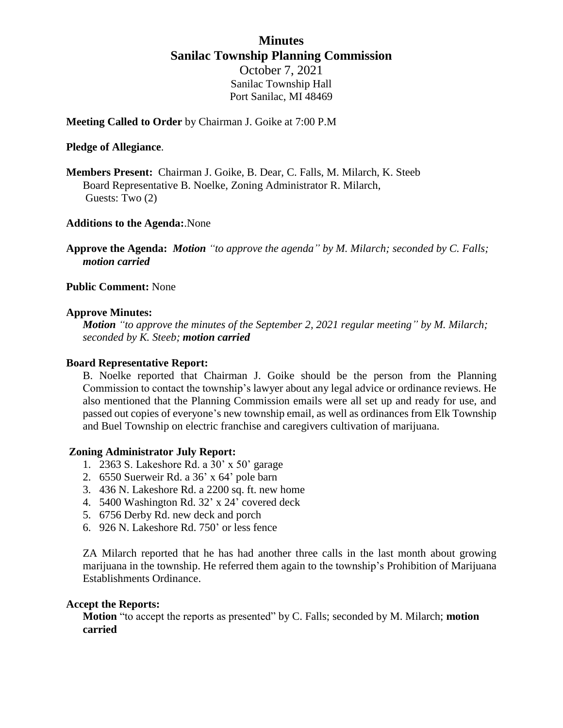## **Minutes Sanilac Township Planning Commission** October 7, 2021 Sanilac Township Hall Port Sanilac, MI 48469

**Meeting Called to Order** by Chairman J. Goike at 7:00 P.M

### **Pledge of Allegiance**.

**Members Present:** Chairman J. Goike, B. Dear, C. Falls, M. Milarch, K. Steeb Board Representative B. Noelke, Zoning Administrator R. Milarch, Guests: Two (2)

## **Additions to the Agenda:**.None

**Approve the Agenda:** *Motion "to approve the agenda" by M. Milarch; seconded by C. Falls; motion carried*

## **Public Comment:** None

### **Approve Minutes:**

*Motion "to approve the minutes of the September 2, 2021 regular meeting" by M. Milarch; seconded by K. Steeb; motion carried*

#### **Board Representative Report:**

B. Noelke reported that Chairman J. Goike should be the person from the Planning Commission to contact the township's lawyer about any legal advice or ordinance reviews. He also mentioned that the Planning Commission emails were all set up and ready for use, and passed out copies of everyone's new township email, as well as ordinances from Elk Township and Buel Township on electric franchise and caregivers cultivation of marijuana.

## **Zoning Administrator July Report:**

- 1. 2363 S. Lakeshore Rd. a 30' x 50' garage
- 2. 6550 Suerweir Rd. a 36' x 64' pole barn
- 3. 436 N. Lakeshore Rd. a 2200 sq. ft. new home
- 4. 5400 Washington Rd. 32' x 24' covered deck
- 5. 6756 Derby Rd. new deck and porch
- 6. 926 N. Lakeshore Rd. 750' or less fence

ZA Milarch reported that he has had another three calls in the last month about growing marijuana in the township. He referred them again to the township's Prohibition of Marijuana Establishments Ordinance.

#### **Accept the Reports:**

**Motion** "to accept the reports as presented" by C. Falls; seconded by M. Milarch; **motion carried**